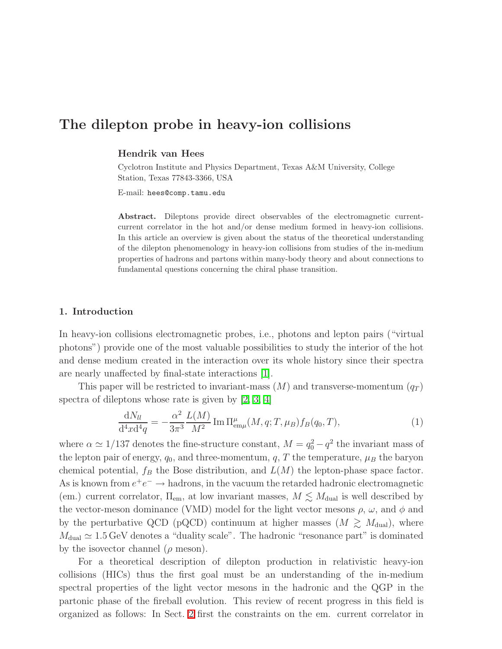# The dilepton probe in heavy-ion collisions

## Hendrik van Hees

Cyclotron Institute and Physics Department, Texas A&M University, College Station, Texas 77843-3366, USA

E-mail: hees@comp.tamu.edu

Abstract. Dileptons provide direct observables of the electromagnetic currentcurrent correlator in the hot and/or dense medium formed in heavy-ion collisions. In this article an overview is given about the status of the theoretical understanding of the dilepton phenomenology in heavy-ion collisions from studies of the in-medium properties of hadrons and partons within many-body theory and about connections to fundamental questions concerning the chiral phase transition.

## 1. Introduction

In heavy-ion collisions electromagnetic probes, i.e., photons and lepton pairs ("virtual photons") provide one of the most valuable possibilities to study the interior of the hot and dense medium created in the interaction over its whole history since their spectra are nearly unaffected by final-state interactions [\[1\]](#page-7-0).

This paper will be restricted to invariant-mass  $(M)$  and transverse-momentum  $(q_T)$ spectra of dileptons whose rate is given by [\[2,](#page-7-1) [3,](#page-7-2) [4\]](#page-7-3)

$$
\frac{dN_{ll}}{d^4x d^4q} = -\frac{\alpha^2}{3\pi^3} \frac{L(M)}{M^2} \operatorname{Im} \Pi_{\text{em}\mu}^{\mu}(M, q; T, \mu_B) f_B(q_0, T), \tag{1}
$$

<span id="page-0-0"></span>where  $\alpha \simeq 1/137$  denotes the fine-structure constant,  $M = q_0^2 - q^2$  the invariant mass of the lepton pair of energy,  $q_0$ , and three-momentum,  $q$ , T the temperature,  $\mu_B$  the baryon chemical potential,  $f_B$  the Bose distribution, and  $L(M)$  the lepton-phase space factor. As is known from  $e^+e^- \rightarrow$  hadrons, in the vacuum the retarded hadronic electromagnetic (em.) current correlator,  $\Pi_{em}$ , at low invariant masses,  $M \lesssim M_{\text{dual}}$  is well described by the vector-meson dominance (VMD) model for the light vector mesons  $\rho$ ,  $\omega$ , and  $\phi$  and by the perturbative QCD (pQCD) continuum at higher masses  $(M \geq M_{\text{dual}})$ , where  $M_{\text{dual}} \simeq 1.5 \,\text{GeV}$  denotes a "duality scale". The hadronic "resonance part" is dominated by the isovector channel ( $\rho$  meson).

For a theoretical description of dilepton production in relativistic heavy-ion collisions (HICs) thus the first goal must be an understanding of the in-medium spectral properties of the light vector mesons in the hadronic and the QGP in the partonic phase of the fireball evolution. This review of recent progress in this field is organized as follows: In Sect. [2](#page-1-0) first the constraints on the em. current correlator in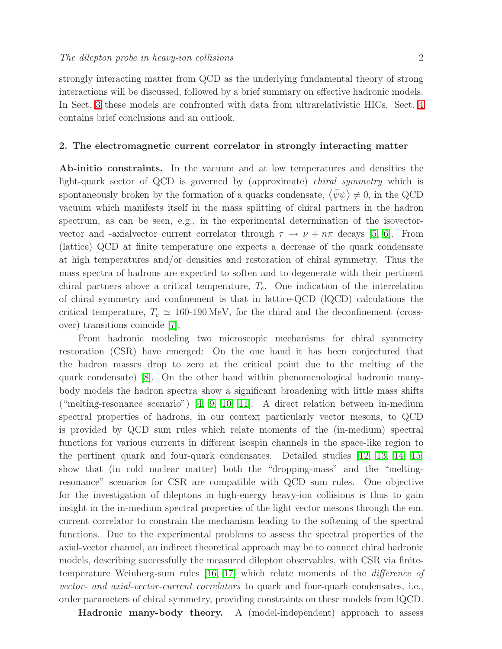strongly interacting matter from QCD as the underlying fundamental theory of strong interactions will be discussed, followed by a brief summary on effective hadronic models. In Sect. [3](#page-2-0) these models are confronted with data from ultrarelativistic HICs. Sect. [4](#page-6-0) contains brief conclusions and an outlook.

# <span id="page-1-0"></span>2. The electromagnetic current correlator in strongly interacting matter

Ab-initio constraints. In the vacuum and at low temperatures and densities the light-quark sector of QCD is governed by (approximate) chiral symmetry which is spontaneously broken by the formation of a quarks condensate,  $\langle \bar{\psi}\psi \rangle \neq 0$ , in the QCD vacuum which manifests itself in the mass splitting of chiral partners in the hadron spectrum, as can be seen, e.g., in the experimental determination of the isovectorvector and -axialvector current correlator through  $\tau \to \nu + n\pi$  decays [\[5,](#page-7-4) [6\]](#page-7-5). From (lattice) QCD at finite temperature one expects a decrease of the quark condensate at high temperatures and/or densities and restoration of chiral symmetry. Thus the mass spectra of hadrons are expected to soften and to degenerate with their pertinent chiral partners above a critical temperature,  $T_c$ . One indication of the interrelation of chiral symmetry and confinement is that in lattice-QCD (lQCD) calculations the critical temperature,  $T_c \simeq 160{\text -}190 \,\text{MeV}$ , for the chiral and the deconfinement (crossover) transitions coincide [\[7\]](#page-7-6).

From hadronic modeling two microscopic mechanisms for chiral symmetry restoration (CSR) have emerged: On the one hand it has been conjectured that the hadron masses drop to zero at the critical point due to the melting of the quark condensate) [\[8\]](#page-7-7). On the other hand within phenomenological hadronic manybody models the hadron spectra show a significant broadening with little mass shifts ("melting-resonance scenario") [\[4,](#page-7-3) [9,](#page-7-8) [10,](#page-7-9) [11\]](#page-7-10). A direct relation between in-medium spectral properties of hadrons, in our context particularly vector mesons, to QCD is provided by QCD sum rules which relate moments of the (in-medium) spectral functions for various currents in different isospin channels in the space-like region to the pertinent quark and four-quark condensates. Detailed studies [\[12,](#page-7-11) [13,](#page-7-12) [14,](#page-7-13) [15\]](#page-7-14) show that (in cold nuclear matter) both the "dropping-mass" and the "meltingresonance" scenarios for CSR are compatible with QCD sum rules. One objective for the investigation of dileptons in high-energy heavy-ion collisions is thus to gain insight in the in-medium spectral properties of the light vector mesons through the em. current correlator to constrain the mechanism leading to the softening of the spectral functions. Due to the experimental problems to assess the spectral properties of the axial-vector channel, an indirect theoretical approach may be to connect chiral hadronic models, describing successfully the measured dilepton observables, with CSR via finitetemperature Weinberg-sum rules [\[16,](#page-7-15) [17\]](#page-7-16) which relate moments of the difference of vector- and axial-vector-current correlators to quark and four-quark condensates, i.e., order parameters of chiral symmetry, providing constraints on these models from lQCD.

Hadronic many-body theory. A (model-independent) approach to assess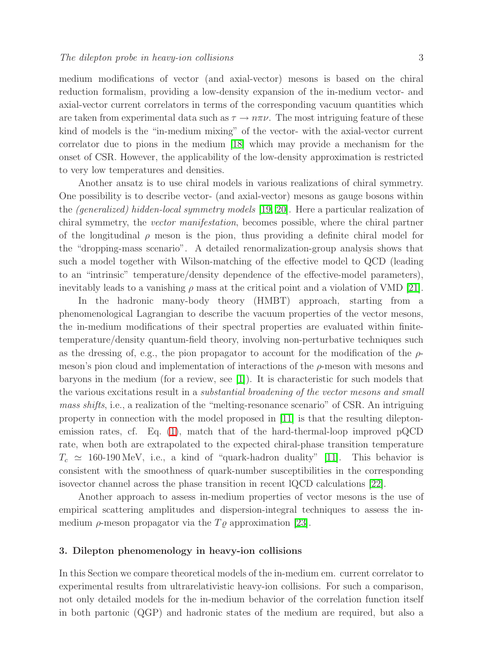medium modifications of vector (and axial-vector) mesons is based on the chiral reduction formalism, providing a low-density expansion of the in-medium vector- and axial-vector current correlators in terms of the corresponding vacuum quantities which are taken from experimental data such as  $\tau \to n\pi\nu$ . The most intriguing feature of these kind of models is the "in-medium mixing" of the vector- with the axial-vector current correlator due to pions in the medium [\[18\]](#page-7-17) which may provide a mechanism for the onset of CSR. However, the applicability of the low-density approximation is restricted to very low temperatures and densities.

Another ansatz is to use chiral models in various realizations of chiral symmetry. One possibility is to describe vector- (and axial-vector) mesons as gauge bosons within the (generalized) hidden-local symmetry models [\[19,](#page-7-18) [20\]](#page-7-19). Here a particular realization of chiral symmetry, the vector manifestation, becomes possible, where the chiral partner of the longitudinal  $\rho$  meson is the pion, thus providing a definite chiral model for the "dropping-mass scenario". A detailed renormalization-group analysis shows that such a model together with Wilson-matching of the effective model to QCD (leading to an "intrinsic" temperature/density dependence of the effective-model parameters), inevitably leads to a vanishing  $\rho$  mass at the critical point and a violation of VMD [\[21\]](#page-7-20).

In the hadronic many-body theory (HMBT) approach, starting from a phenomenological Lagrangian to describe the vacuum properties of the vector mesons, the in-medium modifications of their spectral properties are evaluated within finitetemperature/density quantum-field theory, involving non-perturbative techniques such as the dressing of, e.g., the pion propagator to account for the modification of the  $\rho$ meson's pion cloud and implementation of interactions of the  $\rho$ -meson with mesons and baryons in the medium (for a review, see [\[1\]](#page-7-0)). It is characteristic for such models that the various excitations result in a substantial broadening of the vector mesons and small mass shifts, i.e., a realization of the "melting-resonance scenario" of CSR. An intriguing property in connection with the model proposed in [\[11\]](#page-7-10) is that the resulting dileptonemission rates, cf. Eq. [\(1\)](#page-0-0), match that of the hard-thermal-loop improved pQCD rate, when both are extrapolated to the expected chiral-phase transition temperature  $T_c \simeq 160{\text -}190 \,\text{MeV}$ , i.e., a kind of "quark-hadron duality" [\[11\]](#page-7-10). This behavior is consistent with the smoothness of quark-number susceptibilities in the corresponding isovector channel across the phase transition in recent lQCD calculations [\[22\]](#page-7-21).

Another approach to assess in-medium properties of vector mesons is the use of empirical scattering amplitudes and dispersion-integral techniques to assess the inmedium  $\rho$ -meson propagator via the  $T\rho$  approximation [\[23\]](#page-7-22).

#### <span id="page-2-0"></span>3. Dilepton phenomenology in heavy-ion collisions

In this Section we compare theoretical models of the in-medium em. current correlator to experimental results from ultrarelativistic heavy-ion collisions. For such a comparison, not only detailed models for the in-medium behavior of the correlation function itself in both partonic (QGP) and hadronic states of the medium are required, but also a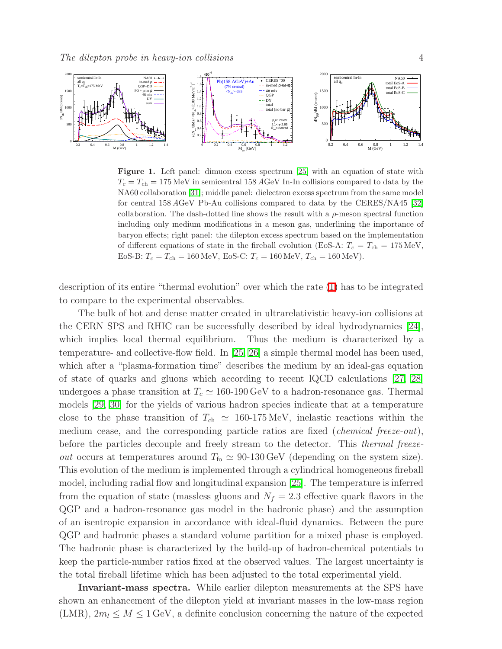

<span id="page-3-0"></span>Figure 1. Left panel: dimuon excess spectrum [\[25\]](#page-7-23) with an equation of state with  $T_c = T_{ch} = 175 \text{ MeV}$  in semicentral 158 AGeV In-In collisions compared to data by the NA60 collaboration [\[31\]](#page-7-24); middle panel: dielectron excess spectrum from the same model for central 158 AGeV Pb-Au collisions compared to data by the CERES/NA45 [\[32\]](#page-7-25) collaboration. The dash-dotted line shows the result with a  $\rho$ -meson spectral function including only medium modifications in a meson gas, underlining the importance of baryon effects; right panel: the dilepton excess spectrum based on the implementation of different equations of state in the fireball evolution (EoS-A:  $T_c = T_{ch} = 175 \text{ MeV}$ , EoS-B:  $T_c = T_{ch} = 160 \text{ MeV}$ , EoS-C:  $T_c = 160 \text{ MeV}$ ,  $T_{ch} = 160 \text{ MeV}$ ).

description of its entire "thermal evolution" over which the rate [\(1\)](#page-0-0) has to be integrated to compare to the experimental observables.

The bulk of hot and dense matter created in ultrarelativistic heavy-ion collisions at the CERN SPS and RHIC can be successfully described by ideal hydrodynamics [\[24\]](#page-7-26), which implies local thermal equilibrium. Thus the medium is characterized by a temperature- and collective-flow field. In [\[25,](#page-7-23) [26\]](#page-7-27) a simple thermal model has been used, which after a "plasma-formation time" describes the medium by an ideal-gas equation of state of quarks and gluons which according to recent lQCD calculations [\[27,](#page-7-28) [28\]](#page-7-29) undergoes a phase transition at  $T_c \simeq 160{\text -}190 \,\text{GeV}$  to a hadron-resonance gas. Thermal models [\[29,](#page-7-30) [30\]](#page-7-31) for the yields of various hadron species indicate that at a temperature close to the phase transition of  $T_{ch} \simeq 160{\text -}175 \,\text{MeV}$ , inelastic reactions within the medium cease, and the corresponding particle ratios are fixed (*chemical freeze-out*), before the particles decouple and freely stream to the detector. This *thermal freezeout* occurs at temperatures around  $T_{\text{fo}} \simeq 90{\text -}130 \,\text{GeV}$  (depending on the system size). This evolution of the medium is implemented through a cylindrical homogeneous fireball model, including radial flow and longitudinal expansion [\[25\]](#page-7-23). The temperature is inferred from the equation of state (massless gluons and  $N_f = 2.3$  effective quark flavors in the QGP and a hadron-resonance gas model in the hadronic phase) and the assumption of an isentropic expansion in accordance with ideal-fluid dynamics. Between the pure QGP and hadronic phases a standard volume partition for a mixed phase is employed. The hadronic phase is characterized by the build-up of hadron-chemical potentials to keep the particle-number ratios fixed at the observed values. The largest uncertainty is the total fireball lifetime which has been adjusted to the total experimental yield.

Invariant-mass spectra. While earlier dilepton measurements at the SPS have shown an enhancement of the dilepton yield at invariant masses in the low-mass region (LMR),  $2m_l \leq M \leq 1$  GeV, a definite conclusion concerning the nature of the expected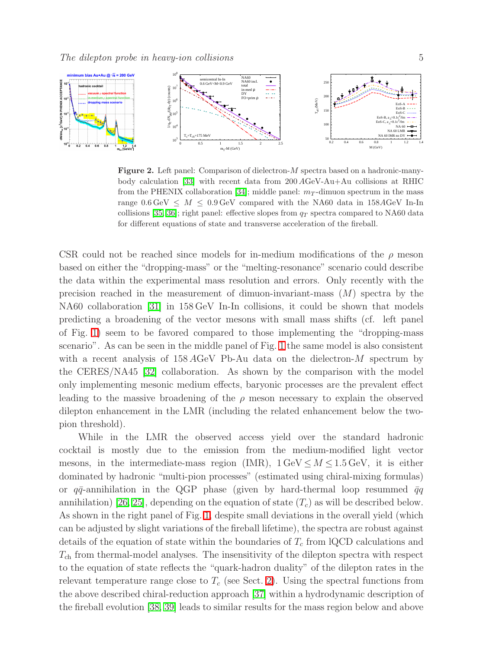

<span id="page-4-0"></span>Figure 2. Left panel: Comparison of dielectron-M spectra based on a hadronic-manybody calculation [\[33\]](#page-7-32) with recent data from 200 AGeV-Au+Au collisions at RHIC from the PHENIX collaboration [\[34\]](#page-7-33); middle panel:  $m<sub>T</sub>$ -dimuon spectrum in the mass range  $0.6 \,\text{GeV} \leq M \leq 0.9 \,\text{GeV}$  compared with the NA60 data in 158AGeV In-In collisions [\[35,](#page-7-34) [36\]](#page-7-35); right panel: effective slopes from  $q_T$  spectra compared to NA60 data for different equations of state and transverse acceleration of the fireball.

CSR could not be reached since models for in-medium modifications of the  $\rho$  meson based on either the "dropping-mass" or the "melting-resonance" scenario could describe the data within the experimental mass resolution and errors. Only recently with the precision reached in the measurement of dimuon-invariant-mass  $(M)$  spectra by the NA60 collaboration [\[31\]](#page-7-24) in 158 GeV In-In collisions, it could be shown that models predicting a broadening of the vector mesons with small mass shifts (cf. left panel of Fig. [1\)](#page-3-0) seem to be favored compared to those implementing the "dropping-mass scenario". As can be seen in the middle panel of Fig. [1](#page-3-0) the same model is also consistent with a recent analysis of  $158 \text{ AGeV}$  Pb-Au data on the dielectron-M spectrum by the CERES/NA45 [\[32\]](#page-7-25) collaboration. As shown by the comparison with the model only implementing mesonic medium effects, baryonic processes are the prevalent effect leading to the massive broadening of the  $\rho$  meson necessary to explain the observed dilepton enhancement in the LMR (including the related enhancement below the twopion threshold).

While in the LMR the observed access yield over the standard hadronic cocktail is mostly due to the emission from the medium-modified light vector mesons, in the intermediate-mass region (IMR),  $1 \text{ GeV} \leq M \leq 1.5 \text{ GeV}$ , it is either dominated by hadronic "multi-pion processes" (estimated using chiral-mixing formulas) or  $q\bar{q}$ -annihilation in the QGP phase (given by hard-thermal loop resummed  $\bar{q}q$ annihilation) [\[26,](#page-7-27) [25\]](#page-7-23), depending on the equation of state  $(T_c)$  as will be described below. As shown in the right panel of Fig. [1,](#page-3-0) despite small deviations in the overall yield (which can be adjusted by slight variations of the fireball lifetime), the spectra are robust against details of the equation of state within the boundaries of  $T_c$  from lQCD calculations and  $T_{ch}$  from thermal-model analyses. The insensitivity of the dilepton spectra with respect to the equation of state reflects the "quark-hadron duality" of the dilepton rates in the relevant temperature range close to  $T_c$  (see Sect. [2\)](#page-1-0). Using the spectral functions from the above described chiral-reduction approach [\[37\]](#page-7-36) within a hydrodynamic description of the fireball evolution [\[38,](#page-7-37) [39\]](#page-7-38) leads to similar results for the mass region below and above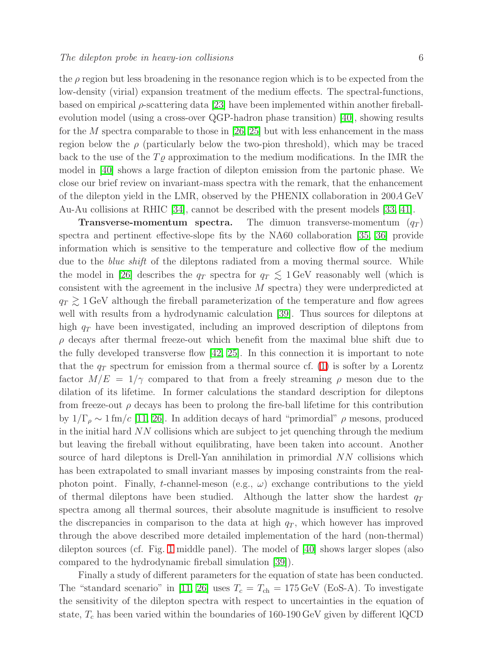the  $\rho$  region but less broadening in the resonance region which is to be expected from the low-density (virial) expansion treatment of the medium effects. The spectral-functions, based on empirical  $\rho$ -scattering data [\[23\]](#page-7-22) have been implemented within another fireballevolution model (using a cross-over QGP-hadron phase transition) [\[40\]](#page-7-39), showing results for the M spectra comparable to those in  $[26, 25]$  $[26, 25]$  but with less enhancement in the mass region below the  $\rho$  (particularly below the two-pion threshold), which may be traced back to the use of the  $T_{\varrho}$  approximation to the medium modifications. In the IMR the model in [\[40\]](#page-7-39) shows a large fraction of dilepton emission from the partonic phase. We close our brief review on invariant-mass spectra with the remark, that the enhancement of the dilepton yield in the LMR, observed by the PHENIX collaboration in 200A GeV Au-Au collisions at RHIC [\[34\]](#page-7-33), cannot be described with the present models [\[33,](#page-7-32) [41\]](#page-7-40).

**Transverse-momentum spectra.** The dimuon transverse-momentum  $(q_T)$ spectra and pertinent effective-slope fits by the NA60 collaboration [\[35,](#page-7-34) [36\]](#page-7-35) provide information which is sensitive to the temperature and collective flow of the medium due to the *blue shift* of the dileptons radiated from a moving thermal source. While the model in [\[26\]](#page-7-27) describes the  $q_T$  spectra for  $q_T \lesssim 1 \,\text{GeV}$  reasonably well (which is consistent with the agreement in the inclusive M spectra) they were underpredicted at  $q_T \gtrsim 1$  GeV although the fireball parameterization of the temperature and flow agrees well with results from a hydrodynamic calculation [\[39\]](#page-7-38). Thus sources for dileptons at high  $q_T$  have been investigated, including an improved description of dileptons from  $\rho$  decays after thermal freeze-out which benefit from the maximal blue shift due to the fully developed transverse flow [\[42,](#page-7-41) [25\]](#page-7-23). In this connection it is important to note that the  $q_T$  spectrum for emission from a thermal source cf. [\(1\)](#page-0-0) is softer by a Lorentz factor  $M/E = 1/\gamma$  compared to that from a freely streaming  $\rho$  meson due to the dilation of its lifetime. In former calculations the standard description for dileptons from freeze-out  $\rho$  decays has been to prolong the fire-ball lifetime for this contribution by  $1/\Gamma_\rho \sim 1$  fm/c [\[11,](#page-7-10) [26\]](#page-7-27). In addition decays of hard "primordial"  $\rho$  mesons, produced in the initial hard NN collisions which are subject to jet quenching through the medium but leaving the fireball without equilibrating, have been taken into account. Another source of hard dileptons is Drell-Yan annihilation in primordial NN collisions which has been extrapolated to small invariant masses by imposing constraints from the realphoton point. Finally, t-channel-meson (e.g.,  $\omega$ ) exchange contributions to the yield of thermal dileptons have been studied. Although the latter show the hardest  $q_T$ spectra among all thermal sources, their absolute magnitude is insufficient to resolve the discrepancies in comparison to the data at high  $q<sub>T</sub>$ , which however has improved through the above described more detailed implementation of the hard (non-thermal) dilepton sources (cf. Fig. [1](#page-3-0) middle panel). The model of [\[40\]](#page-7-39) shows larger slopes (also compared to the hydrodynamic fireball simulation [\[39\]](#page-7-38)).

Finally a study of different parameters for the equation of state has been conducted. The "standard scenario" in [\[11,](#page-7-10) [26\]](#page-7-27) uses  $T_c = T_{ch} = 175 \,\text{GeV}$  (EoS-A). To investigate the sensitivity of the dilepton spectra with respect to uncertainties in the equation of state,  $T_c$  has been varied within the boundaries of 160-190 GeV given by different lQCD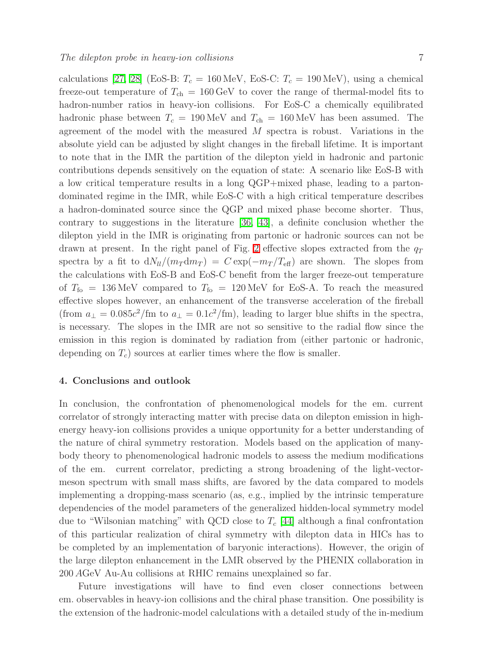calculations [\[27,](#page-7-28) [28\]](#page-7-29) (EoS-B:  $T_c = 160 \text{ MeV}$ , EoS-C:  $T_c = 190 \text{ MeV}$ ), using a chemical freeze-out temperature of  $T_{ch} = 160 \,\text{GeV}$  to cover the range of thermal-model fits to hadron-number ratios in heavy-ion collisions. For EoS-C a chemically equilibrated hadronic phase between  $T_c = 190 \,\text{MeV}$  and  $T_{ch} = 160 \,\text{MeV}$  has been assumed. The agreement of the model with the measured M spectra is robust. Variations in the absolute yield can be adjusted by slight changes in the fireball lifetime. It is important to note that in the IMR the partition of the dilepton yield in hadronic and partonic contributions depends sensitively on the equation of state: A scenario like EoS-B with a low critical temperature results in a long QGP+mixed phase, leading to a partondominated regime in the IMR, while EoS-C with a high critical temperature describes a hadron-dominated source since the QGP and mixed phase become shorter. Thus, contrary to suggestions in the literature [\[36,](#page-7-35) [43\]](#page-7-42), a definite conclusion whether the dilepton yield in the IMR is originating from partonic or hadronic sources can not be drawn at present. In the right panel of Fig. [2](#page-4-0) effective slopes extracted from the  $q_T$ spectra by a fit to  $dN_l/(m_T dm_T) = C \exp(-m_T/T_{\text{eff}})$  are shown. The slopes from the calculations with EoS-B and EoS-C benefit from the larger freeze-out temperature of  $T_{\text{fo}} = 136 \text{ MeV}$  compared to  $T_{\text{fo}} = 120 \text{ MeV}$  for EoS-A. To reach the measured effective slopes however, an enhancement of the transverse acceleration of the fireball (from  $a_{\perp} = 0.085c^2$ /fm to  $a_{\perp} = 0.1c^2$ /fm), leading to larger blue shifts in the spectra, is necessary. The slopes in the IMR are not so sensitive to the radial flow since the emission in this region is dominated by radiation from (either partonic or hadronic, depending on  $T_c$ ) sources at earlier times where the flow is smaller.

# <span id="page-6-0"></span>4. Conclusions and outlook

In conclusion, the confrontation of phenomenological models for the em. current correlator of strongly interacting matter with precise data on dilepton emission in highenergy heavy-ion collisions provides a unique opportunity for a better understanding of the nature of chiral symmetry restoration. Models based on the application of manybody theory to phenomenological hadronic models to assess the medium modifications of the em. current correlator, predicting a strong broadening of the light-vectormeson spectrum with small mass shifts, are favored by the data compared to models implementing a dropping-mass scenario (as, e.g., implied by the intrinsic temperature dependencies of the model parameters of the generalized hidden-local symmetry model due to "Wilsonian matching" with QCD close to  $T_c$  [\[44\]](#page-7-43) although a final confrontation of this particular realization of chiral symmetry with dilepton data in HICs has to be completed by an implementation of baryonic interactions). However, the origin of the large dilepton enhancement in the LMR observed by the PHENIX collaboration in 200 AGeV Au-Au collisions at RHIC remains unexplained so far.

Future investigations will have to find even closer connections between em. observables in heavy-ion collisions and the chiral phase transition. One possibility is the extension of the hadronic-model calculations with a detailed study of the in-medium